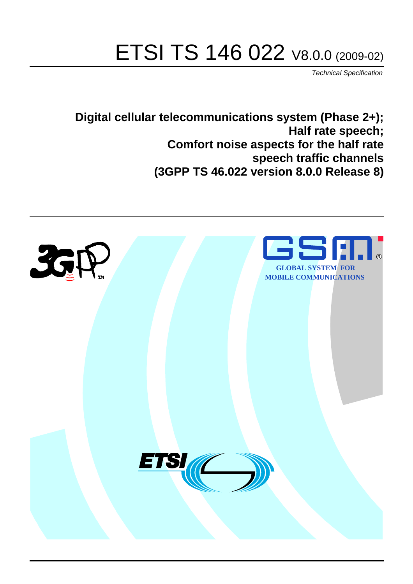# ETSI TS 146 022 V8.0.0 (2009-02)

*Technical Specification*

**Digital cellular telecommunications system (Phase 2+); Half rate speech; Comfort noise aspects for the half rate speech traffic channels (3GPP TS 46.022 version 8.0.0 Release 8)**

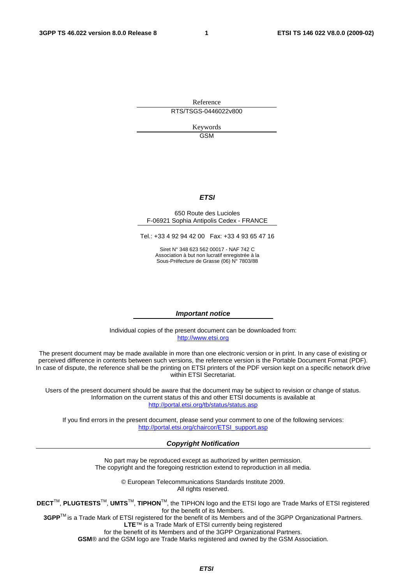Reference RTS/TSGS-0446022v800

> Keywords GSM

#### *ETSI*

#### 650 Route des Lucioles F-06921 Sophia Antipolis Cedex - FRANCE

Tel.: +33 4 92 94 42 00 Fax: +33 4 93 65 47 16

Siret N° 348 623 562 00017 - NAF 742 C Association à but non lucratif enregistrée à la Sous-Préfecture de Grasse (06) N° 7803/88

#### *Important notice*

Individual copies of the present document can be downloaded from: [http://www.etsi.org](http://www.etsi.org/)

The present document may be made available in more than one electronic version or in print. In any case of existing or perceived difference in contents between such versions, the reference version is the Portable Document Format (PDF). In case of dispute, the reference shall be the printing on ETSI printers of the PDF version kept on a specific network drive within ETSI Secretariat.

Users of the present document should be aware that the document may be subject to revision or change of status. Information on the current status of this and other ETSI documents is available at <http://portal.etsi.org/tb/status/status.asp>

If you find errors in the present document, please send your comment to one of the following services: [http://portal.etsi.org/chaircor/ETSI\\_support.asp](http://portal.etsi.org/chaircor/ETSI_support.asp)

#### *Copyright Notification*

No part may be reproduced except as authorized by written permission. The copyright and the foregoing restriction extend to reproduction in all media.

> © European Telecommunications Standards Institute 2009. All rights reserved.

**DECT**TM, **PLUGTESTS**TM, **UMTS**TM, **TIPHON**TM, the TIPHON logo and the ETSI logo are Trade Marks of ETSI registered for the benefit of its Members.

**3GPP**TM is a Trade Mark of ETSI registered for the benefit of its Members and of the 3GPP Organizational Partners. **LTE**™ is a Trade Mark of ETSI currently being registered

for the benefit of its Members and of the 3GPP Organizational Partners.

**GSM**® and the GSM logo are Trade Marks registered and owned by the GSM Association.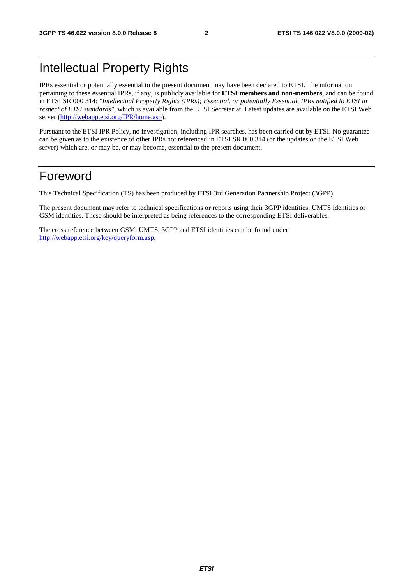### Intellectual Property Rights

IPRs essential or potentially essential to the present document may have been declared to ETSI. The information pertaining to these essential IPRs, if any, is publicly available for **ETSI members and non-members**, and can be found in ETSI SR 000 314: *"Intellectual Property Rights (IPRs); Essential, or potentially Essential, IPRs notified to ETSI in respect of ETSI standards"*, which is available from the ETSI Secretariat. Latest updates are available on the ETSI Web server ([http://webapp.etsi.org/IPR/home.asp\)](http://webapp.etsi.org/IPR/home.asp).

Pursuant to the ETSI IPR Policy, no investigation, including IPR searches, has been carried out by ETSI. No guarantee can be given as to the existence of other IPRs not referenced in ETSI SR 000 314 (or the updates on the ETSI Web server) which are, or may be, or may become, essential to the present document.

#### Foreword

This Technical Specification (TS) has been produced by ETSI 3rd Generation Partnership Project (3GPP).

The present document may refer to technical specifications or reports using their 3GPP identities, UMTS identities or GSM identities. These should be interpreted as being references to the corresponding ETSI deliverables.

The cross reference between GSM, UMTS, 3GPP and ETSI identities can be found under [http://webapp.etsi.org/key/queryform.asp.](http://webapp.etsi.org/key/queryform.asp)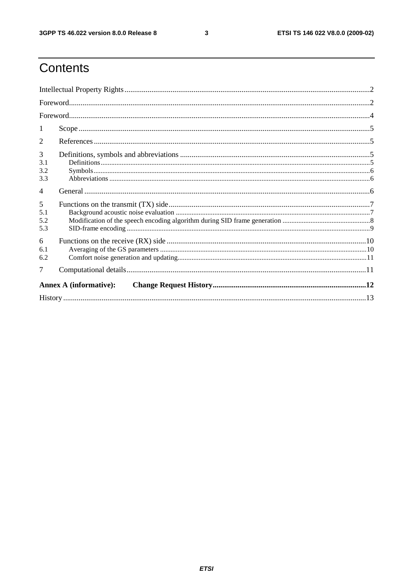$\mathbf{3}$ 

### Contents

| -1                     |                               |  |
|------------------------|-------------------------------|--|
| 2                      |                               |  |
| 3<br>3.1<br>3.2<br>3.3 |                               |  |
| $\overline{4}$         |                               |  |
| 5<br>5.1<br>5.2<br>5.3 |                               |  |
| 6<br>6.1<br>6.2        |                               |  |
| 7                      |                               |  |
|                        | <b>Annex A (informative):</b> |  |
|                        |                               |  |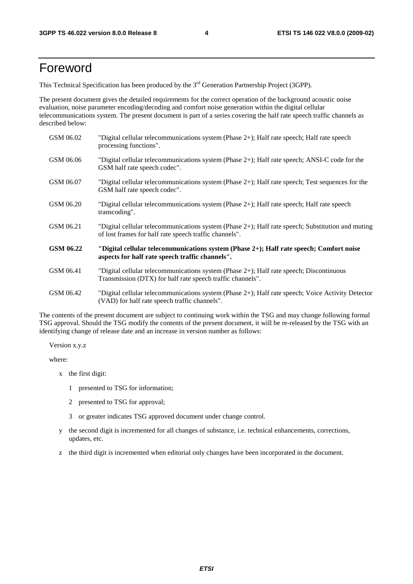#### Foreword

This Technical Specification has been produced by the 3<sup>rd</sup> Generation Partnership Project (3GPP).

The present document gives the detailed requirements for the correct operation of the background acoustic noise evaluation, noise parameter encoding/decoding and comfort noise generation within the digital cellular telecommunications system. The present document is part of a series covering the half rate speech traffic channels as described below:

| GSM 06.02 | "Digital cellular telecommunications system (Phase 2+); Half rate speech; Half rate speech<br>processing functions".                                        |
|-----------|-------------------------------------------------------------------------------------------------------------------------------------------------------------|
| GSM 06.06 | "Digital cellular telecommunications system (Phase $2+$ ); Half rate speech; ANSI-C code for the<br>GSM half rate speech codec".                            |
| GSM 06.07 | "Digital cellular telecommunications system (Phase 2+); Half rate speech; Test sequences for the<br>GSM half rate speech codec".                            |
| GSM 06.20 | "Digital cellular telecommunications system (Phase 2+); Half rate speech; Half rate speech<br>transcoding".                                                 |
| GSM 06.21 | "Digital cellular telecommunications system (Phase 2+); Half rate speech; Substitution and muting<br>of lost frames for half rate speech traffic channels". |
| GSM 06.22 | "Digital cellular telecommunications system (Phase 2+); Half rate speech; Comfort noise<br>aspects for half rate speech traffic channels".                  |
| GSM 06.41 | "Digital cellular telecommunications system (Phase 2+); Half rate speech; Discontinuous<br>Transmission (DTX) for half rate speech traffic channels".       |
| GSM 06.42 | "Digital cellular telecommunications system (Phase 2+); Half rate speech; Voice Activity Detector<br>(VAD) for half rate speech traffic channels".          |

The contents of the present document are subject to continuing work within the TSG and may change following formal TSG approval. Should the TSG modify the contents of the present document, it will be re-released by the TSG with an identifying change of release date and an increase in version number as follows:

Version x.y.z

where:

- x the first digit:
	- 1 presented to TSG for information;
	- 2 presented to TSG for approval;
	- 3 or greater indicates TSG approved document under change control.
- y the second digit is incremented for all changes of substance, i.e. technical enhancements, corrections, updates, etc.
- z the third digit is incremented when editorial only changes have been incorporated in the document.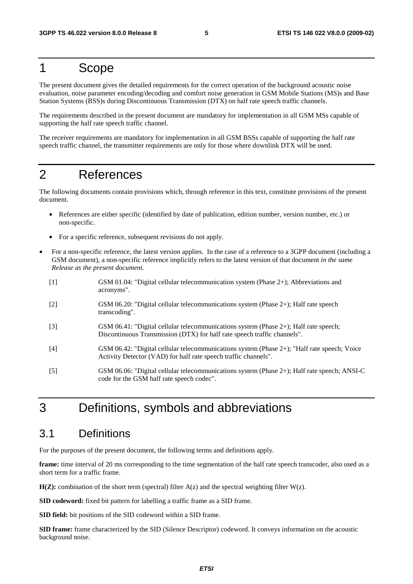#### 1 Scope

The present document gives the detailed requirements for the correct operation of the background acoustic noise evaluation, noise parameter encoding/decoding and comfort noise generation in GSM Mobile Stations (MS)s and Base Station Systems (BSS)s during Discontinuous Transmission (DTX) on half rate speech traffic channels.

The requirements described in the present document are mandatory for implementation in all GSM MSs capable of supporting the half rate speech traffic channel.

The receiver requirements are mandatory for implementation in all GSM BSSs capable of supporting the half rate speech traffic channel, the transmitter requirements are only for those where downlink DTX will be used.

#### 2 References

The following documents contain provisions which, through reference in this text, constitute provisions of the present document.

- References are either specific (identified by date of publication, edition number, version number, etc.) or non-specific.
- For a specific reference, subsequent revisions do not apply.
- For a non-specific reference, the latest version applies. In the case of a reference to a 3GPP document (including a GSM document), a non-specific reference implicitly refers to the latest version of that document *in the same Release as the present document*.
	- [1] GSM 01.04: "Digital cellular telecommunication system (Phase 2+); Abbreviations and acronyms".
	- [2] GSM 06.20: "Digital cellular telecommunications system (Phase 2+); Half rate speech transcoding".
	- [3] GSM 06.41: "Digital cellular telecommunications system (Phase 2+); Half rate speech; Discontinuous Transmission (DTX) for half rate speech traffic channels".
	- [4] GSM 06.42: "Digital cellular telecommunications system (Phase 2+); "Half rate speech; Voice Activity Detector (VAD) for half rate speech traffic channels".
	- [5] GSM 06.06: "Digital cellular telecommunications system (Phase 2+); Half rate speech; ANSI-C code for the GSM half rate speech codec".

#### 3 Definitions, symbols and abbreviations

#### 3.1 Definitions

For the purposes of the present document, the following terms and definitions apply.

**frame:** time interval of 20 ms corresponding to the time segmentation of the half rate speech transcoder, also used as a short term for a traffic frame.

 $H(Z)$ : combination of the short term (spectral) filter  $A(z)$  and the spectral weighting filter  $W(z)$ .

**SID codeword:** fixed bit pattern for labelling a traffic frame as a SID frame.

**SID field:** bit positions of the SID codeword within a SID frame.

**SID frame:** frame characterized by the SID (Silence Descriptor) codeword. It conveys information on the acoustic background noise.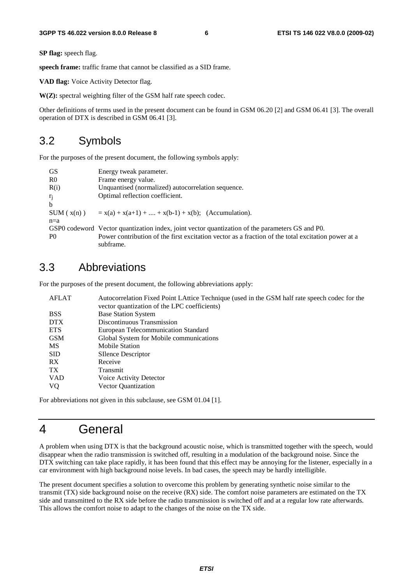**SP flag:** speech flag.

**speech frame:** traffic frame that cannot be classified as a SID frame.

**VAD flag:** Voice Activity Detector flag.

**W(Z):** spectral weighting filter of the GSM half rate speech codec.

Other definitions of terms used in the present document can be found in GSM 06.20 [2] and GSM 06.41 [3]. The overall operation of DTX is described in GSM 06.41 [3].

#### 3.2 Symbols

For the purposes of the present document, the following symbols apply:

| <b>GS</b>      | Energy tweak parameter.                                                                            |
|----------------|----------------------------------------------------------------------------------------------------|
| R <sub>0</sub> | Frame energy value.                                                                                |
| R(i)           | Unquantised (normalized) autocorrelation sequence.                                                 |
| $r_j$          | Optimal reflection coefficient.                                                                    |
| $\mathbf b$    |                                                                                                    |
| SUM(x(n))      | $x = x(a) + x(a+1) +  + x(b-1) + x(b);$ (Accumulation).                                            |
| $n=a$          |                                                                                                    |
|                | GSP0 codeword Vector quantization index, joint vector quantization of the parameters GS and P0.    |
| P <sub>0</sub> | Power contribution of the first excitation vector as a fraction of the total excitation power at a |
|                | subframe.                                                                                          |

#### 3.3 Abbreviations

For the purposes of the present document, the following abbreviations apply:

| <b>AFLAT</b>    | Autocorrelation Fixed Point LAttice Technique (used in the GSM half rate speech codec for the<br>vector quantization of the LPC coefficients) |
|-----------------|-----------------------------------------------------------------------------------------------------------------------------------------------|
| <b>BSS</b>      | <b>Base Station System</b>                                                                                                                    |
| DTX.            | Discontinuous Transmission                                                                                                                    |
| <b>ETS</b>      | European Telecommunication Standard                                                                                                           |
| GSM             | Global System for Mobile communications                                                                                                       |
| <b>MS</b>       | <b>Mobile Station</b>                                                                                                                         |
| <b>SID</b>      | <b>SIlence Descriptor</b>                                                                                                                     |
| RX              | Receive                                                                                                                                       |
| TX <sup>-</sup> | Transmit                                                                                                                                      |
| <b>VAD</b>      | Voice Activity Detector                                                                                                                       |
| <b>VQ</b>       | <b>Vector Quantization</b>                                                                                                                    |

For abbreviations not given in this subclause, see GSM 01.04 [1].

#### 4 General

A problem when using DTX is that the background acoustic noise, which is transmitted together with the speech, would disappear when the radio transmission is switched off, resulting in a modulation of the background noise. Since the DTX switching can take place rapidly, it has been found that this effect may be annoying for the listener, especially in a car environment with high background noise levels. In bad cases, the speech may be hardly intelligible.

The present document specifies a solution to overcome this problem by generating synthetic noise similar to the transmit (TX) side background noise on the receive (RX) side. The comfort noise parameters are estimated on the TX side and transmitted to the RX side before the radio transmission is switched off and at a regular low rate afterwards. This allows the comfort noise to adapt to the changes of the noise on the TX side.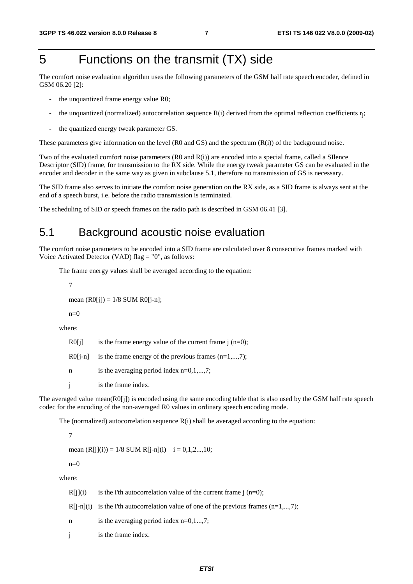### 5 Functions on the transmit (TX) side

The comfort noise evaluation algorithm uses the following parameters of the GSM half rate speech encoder, defined in GSM 06.20 [2]:

- the unquantized frame energy value R0;
- the unquantized (normalized) autocorrelation sequence  $R(i)$  derived from the optimal reflection coefficients  $r_i$ ;
- the quantized energy tweak parameter GS.

These parameters give information on the level (R0 and GS) and the spectrum (R(i)) of the background noise.

Two of the evaluated comfort noise parameters (R0 and R(i)) are encoded into a special frame, called a SIlence Descriptor (SID) frame, for transmission to the RX side. While the energy tweak parameter GS can be evaluated in the encoder and decoder in the same way as given in subclause 5.1, therefore no transmission of GS is necessary.

The SID frame also serves to initiate the comfort noise generation on the RX side, as a SID frame is always sent at the end of a speech burst, i.e. before the radio transmission is terminated.

The scheduling of SID or speech frames on the radio path is described in GSM 06.41 [3].

#### 5.1 Background acoustic noise evaluation

The comfort noise parameters to be encoded into a SID frame are calculated over 8 consecutive frames marked with Voice Activated Detector (VAD) flag  $=$  "0", as follows:

The frame energy values shall be averaged according to the equation:

7

mean  $(R0[i]) = 1/8$  SUM R0[j-n];

 $n=0$ 

where:

| R0[j] |  |  | is the frame energy value of the current frame $j(n=0);$ |
|-------|--|--|----------------------------------------------------------|
|-------|--|--|----------------------------------------------------------|

 $R0[j-n]$  is the frame energy of the previous frames  $(n=1,...,7);$ 

- n is the averaging period index n=0,1,...,7;
- j is the frame index.

The averaged value mean( $R0[i]$ ) is encoded using the same encoding table that is also used by the GSM half rate speech codec for the encoding of the non-averaged R0 values in ordinary speech encoding mode.

The (normalized) autocorrelation sequence  $R(i)$  shall be averaged according to the equation:

7

mean  $(R[i](i)) = 1/8$  SUM  $R[i-n](i)$   $i = 0,1,2...$ , 10;

 $n=0$ 

where:

| R[i](i) | is the i'th autocorrelation value of the current frame $i$ (n=0);                     |
|---------|---------------------------------------------------------------------------------------|
|         | $R[i-n](i)$ is the i'th autocorrelation value of one of the previous frames (n=1,,7); |
| n       | is the averaging period index $n=0,1,7$ ;                                             |
|         | is the frame index.                                                                   |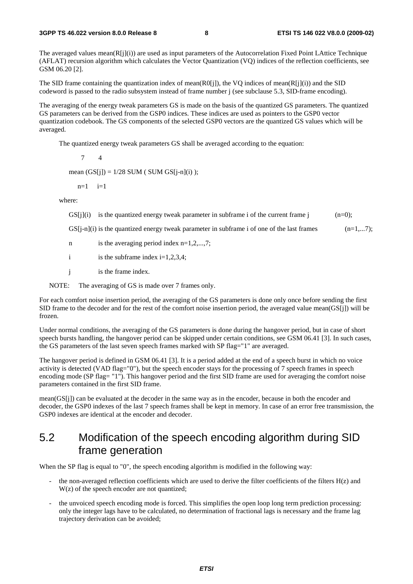The averaged values mean(R[j](i)) are used as input parameters of the Autocorrelation Fixed Point LAttice Technique (AFLAT) recursion algorithm which calculates the Vector Quantization (VQ) indices of the reflection coefficients, see GSM 06.20 [2].

The SID frame containing the quantization index of mean(R0[j]), the VQ indices of mean(R[j](i)) and the SID codeword is passed to the radio subsystem instead of frame number j (see subclause 5.3, SID-frame encoding).

The averaging of the energy tweak parameters GS is made on the basis of the quantized GS parameters. The quantized GS parameters can be derived from the GSP0 indices. These indices are used as pointers to the GSP0 vector quantization codebook. The GS components of the selected GSP0 vectors are the quantized GS values which will be averaged.

The quantized energy tweak parameters GS shall be averaged according to the equation:

7 4

mean  $(GS[i]) = 1/28$  SUM ( SUM  $GS[i-n](i)$  );

 $n=1$   $i=1$ 

where:

GS[j](i) is the quantized energy tweak parameter in subframe i of the current frame j  $(n=0);$ 

GS[j-n](i) is the quantized energy tweak parameter in subframe i of one of the last frames  $(n=1,...7);$ 

- n is the averaging period index  $n=1,2,...,7$ ;
- i is the subframe index  $i=1,2,3,4$ ;
- j is the frame index.
- NOTE: The averaging of GS is made over 7 frames only.

For each comfort noise insertion period, the averaging of the GS parameters is done only once before sending the first SID frame to the decoder and for the rest of the comfort noise insertion period, the averaged value mean(GS[j]) will be frozen.

Under normal conditions, the averaging of the GS parameters is done during the hangover period, but in case of short speech bursts handling, the hangover period can be skipped under certain conditions, see GSM 06.41 [3]. In such cases, the GS parameters of the last seven speech frames marked with SP flag="1" are averaged.

The hangover period is defined in GSM 06.41 [3]. It is a period added at the end of a speech burst in which no voice activity is detected (VAD flag="0"), but the speech encoder stays for the processing of 7 speech frames in speech encoding mode (SP flag= "1"). This hangover period and the first SID frame are used for averaging the comfort noise parameters contained in the first SID frame.

mean(GS[j]) can be evaluated at the decoder in the same way as in the encoder, because in both the encoder and decoder, the GSP0 indexes of the last 7 speech frames shall be kept in memory. In case of an error free transmission, the GSP0 indexes are identical at the encoder and decoder.

#### 5.2 Modification of the speech encoding algorithm during SID frame generation

When the SP flag is equal to "0", the speech encoding algorithm is modified in the following way:

- the non-averaged reflection coefficients which are used to derive the filter coefficients of the filters  $H(z)$  and W(z) of the speech encoder are not quantized;
- the unvoiced speech encoding mode is forced. This simplifies the open loop long term prediction processing: only the integer lags have to be calculated, no determination of fractional lags is necessary and the frame lag trajectory derivation can be avoided;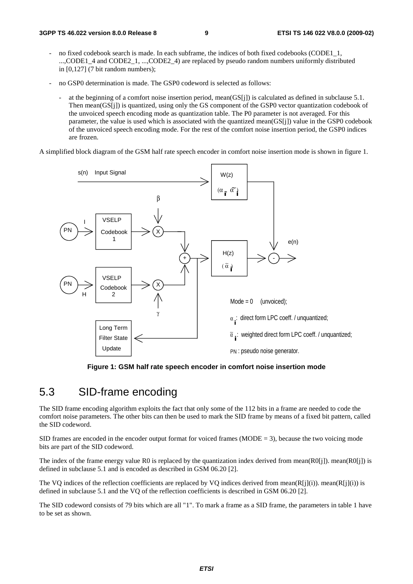- no fixed codebook search is made. In each subframe, the indices of both fixed codebooks (CODE1, 1, ...,CODE1\_4 and CODE2\_1, ...,CODE2\_4) are replaced by pseudo random numbers uniformly distributed in [0,127] (7 bit random numbers);
- no GSP0 determination is made. The GSP0 codeword is selected as follows:
	- at the beginning of a comfort noise insertion period, mean(GS[j]) is calculated as defined in subclause 5.1. Then mean(GS[j]) is quantized, using only the GS component of the GSP0 vector quantization codebook of the unvoiced speech encoding mode as quantization table. The P0 parameter is not averaged. For this parameter, the value is used which is associated with the quantized mean(GS[j]) value in the GSP0 codebook of the unvoiced speech encoding mode. For the rest of the comfort noise insertion period, the GSP0 indices are frozen.

A simplified block diagram of the GSM half rate speech encoder in comfort noise insertion mode is shown in figure 1.



**Figure 1: GSM half rate speech encoder in comfort noise insertion mode** 

#### 5.3 SID-frame encoding

The SID frame encoding algorithm exploits the fact that only some of the 112 bits in a frame are needed to code the comfort noise parameters. The other bits can then be used to mark the SID frame by means of a fixed bit pattern, called the SID codeword.

SID frames are encoded in the encoder output format for voiced frames (MODE  $=$  3), because the two voicing mode bits are part of the SID codeword.

The index of the frame energy value R0 is replaced by the quantization index derived from mean( $R0[i]$ ). mean( $R0[i]$ ) is defined in subclause 5.1 and is encoded as described in GSM 06.20 [2].

The VO indices of the reflection coefficients are replaced by VO indices derived from mean( $R[i](i)$ ). mean( $R[i](i)$ ) is defined in subclause 5.1 and the VQ of the reflection coefficients is described in GSM 06.20 [2].

The SID codeword consists of 79 bits which are all "1". To mark a frame as a SID frame, the parameters in table 1 have to be set as shown.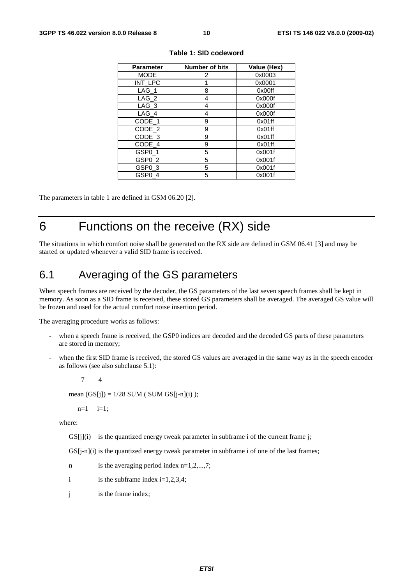| <b>Parameter</b>   | <b>Number of bits</b> | Value (Hex) |
|--------------------|-----------------------|-------------|
| <b>MODE</b>        | 2                     | 0x0003      |
| INT_LPC            |                       | 0x0001      |
| $LAG_1$            | 8                     | 0x00ff      |
| $LAG_2$            | 4                     | 0x000f      |
| $LAG_3$            | 4                     | 0x000f      |
| LAG_4              | 4                     | 0x000f      |
| CODE_1             | 9                     | 0x01ff      |
| CODE_2             | 9                     | 0x01ff      |
| CODE_3             | 9                     | 0x01ff      |
| CODE_4             | 9                     | 0x01ff      |
| GSP <sub>0_1</sub> | 5                     | 0x001f      |
| GSP <sub>0</sub> 2 | 5                     | 0x001f      |
| GSP <sub>0</sub> 3 | 5                     | 0x001f      |
| GSP0_4             | 5                     | 0x001f      |

#### **Table 1: SID codeword**

The parameters in table 1 are defined in GSM 06.20 [2].

### 6 Functions on the receive (RX) side

The situations in which comfort noise shall be generated on the RX side are defined in GSM 06.41 [3] and may be started or updated whenever a valid SID frame is received.

#### 6.1 Averaging of the GS parameters

When speech frames are received by the decoder, the GS parameters of the last seven speech frames shall be kept in memory. As soon as a SID frame is received, these stored GS parameters shall be averaged. The averaged GS value will be frozen and used for the actual comfort noise insertion period.

The averaging procedure works as follows:

- when a speech frame is received, the GSP0 indices are decoded and the decoded GS parts of these parameters are stored in memory;
- when the first SID frame is received, the stored GS values are averaged in the same way as in the speech encoder as follows (see also subclause 5.1):

7 4

mean  $(GS[j]) = 1/28$  SUM ( SUM  $GS[j-n](i)$  );

 $n=1$   $i=1$ ;

where:

 $\text{GSI}$ i $\text{I}(i)$  is the quantized energy tweak parameter in subframe i of the current frame i:

 $GS[i-n](i)$  is the quantized energy tweak parameter in subframe i of one of the last frames;

- n is the averaging period index n=1,2,...,7;
- i is the subframe index  $i=1,2,3,4$ ;
- j is the frame index;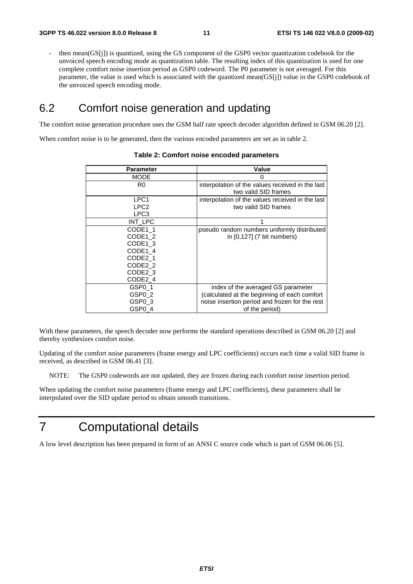then mean(GS[j]) is quantized, using the GS component of the GSP0 vector quantization codebook for the unvoiced speech encoding mode as quantization table. The resulting index of this quantization is used for one complete comfort noise insertion period as GSP0 codeword. The P0 parameter is not averaged. For this parameter, the value is used which is associated with the quantized mean(GS[j]) value in the GSP0 codebook of the unvoiced speech encoding mode.

#### 6.2 Comfort noise generation and updating

The comfort noise generation procedure uses the GSM half rate speech decoder algorithm defined in GSM 06.20 [2].

When comfort noise is to be generated, then the various encoded parameters are set as in table 2.

| <b>Parameter</b>    | Value                                            |
|---------------------|--------------------------------------------------|
| <b>MODE</b>         | 0                                                |
| R0                  | interpolation of the values received in the last |
|                     | two valid SID frames                             |
| LPC1                | interpolation of the values received in the last |
| LPC <sub>2</sub>    | two valid SID frames                             |
| LPC3                |                                                  |
| INT LPC             |                                                  |
| CODE1 1             | pseudo random numbers uniformly distributed      |
| CODE1 2             | in [0,127] (7 bit numbers)                       |
| CODE1 3             |                                                  |
| CODE1 4             |                                                  |
| CODE <sub>2</sub> 1 |                                                  |
| CODE2 2             |                                                  |
| CODE <sub>2</sub> 3 |                                                  |
| CODE2 4             |                                                  |
| GSP <sub>0</sub> 1  | index of the averaged GS parameter               |
| GSP0 2              | (calculated at the beginning of each comfort     |
| GSP0 3              | noise insertion period and frozen for the rest   |
| GSP0 4              | of the period)                                   |

#### **Table 2: Comfort noise encoded parameters**

With these parameters, the speech decoder now performs the standard operations described in GSM 06.20 [2] and thereby synthesizes comfort noise.

Updating of the comfort noise parameters (frame energy and LPC coefficients) occurs each time a valid SID frame is received, as described in GSM 06.41 [3].

NOTE: The GSP0 codewords are not updated, they are frozen during each comfort noise insertion period.

When updating the comfort noise parameters (frame energy and LPC coefficients), these parameters shall be interpolated over the SID update period to obtain smooth transitions.

### 7 Computational details

A low level description has been prepared in form of an ANSI C source code which is part of GSM 06.06 [5].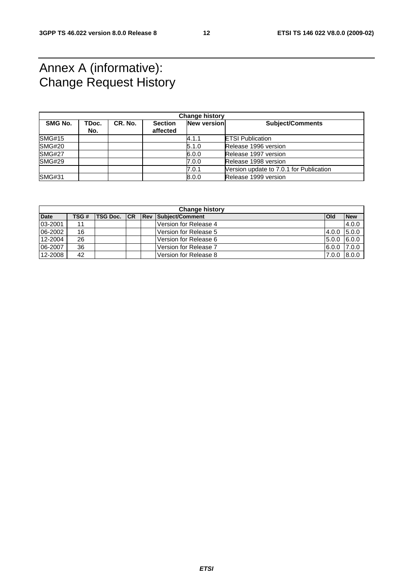### Annex A (informative): Change Request History

| <b>Change history</b> |              |         |                            |             |                                         |
|-----------------------|--------------|---------|----------------------------|-------------|-----------------------------------------|
| <b>SMG No.</b>        | TDoc.<br>No. | CR. No. | <b>Section</b><br>affected | New version | <b>Subject/Comments</b>                 |
| <b>SMG#15</b>         |              |         |                            | 4.1.1       | <b>ETSI Publication</b>                 |
| <b>SMG#20</b>         |              |         |                            | 5.1.0       | Release 1996 version                    |
| <b>SMG#27</b>         |              |         |                            | 6.0.0       | Release 1997 version                    |
| SMG#29                |              |         |                            | 7.0.0       | Release 1998 version                    |
|                       |              |         |                            | 7.0.1       | Version update to 7.0.1 for Publication |
| <b>SMG#31</b>         |              |         |                            | 8.0.0       | Release 1999 version                    |

|             | <b>Change history</b> |                 |    |  |                            |             |            |  |
|-------------|-----------------------|-----------------|----|--|----------------------------|-------------|------------|--|
| <b>Date</b> | TSG#                  | <b>TSG Doc.</b> | CR |  | <b>Rev Subject/Comment</b> | <b>IOId</b> | <b>New</b> |  |
| 03-2001     | 11                    |                 |    |  | Version for Release 4      |             | 4.0.0      |  |
| 06-2002     | 16                    |                 |    |  | Version for Release 5      | 4.0.0       | 5.0.0      |  |
| 12-2004     | 26                    |                 |    |  | Version for Release 6      | 5.0.0       | 6.0.0      |  |
| 06-2007     | 36                    |                 |    |  | Version for Release 7      | 6.0.0 7.0.0 |            |  |
| 12-2008     | 42                    |                 |    |  | Version for Release 8      | 7.0.0       | 8.0.0      |  |